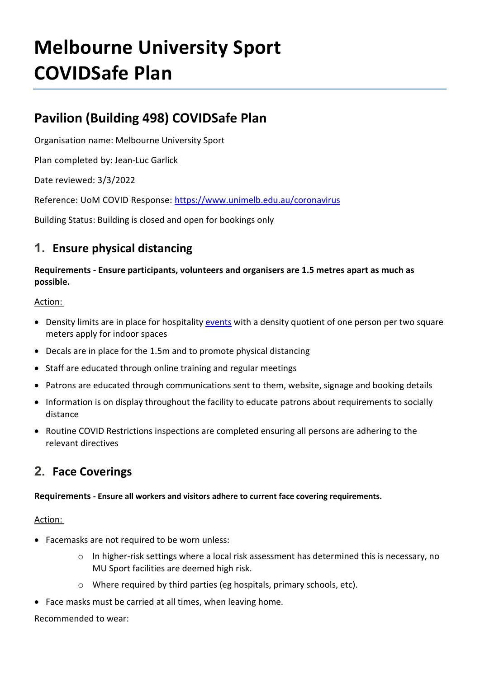# **Melbourne University Sport COVIDSafe Plan**

## **Pavilion (Building 498) COVIDSafe Plan**

Organisation name: Melbourne University Sport

Plan completed by: Jean-Luc Garlick

Date reviewed: 3/3/2022

Reference: UoM COVID Response:<https://www.unimelb.edu.au/coronavirus>

Building Status: Building is closed and open for bookings only

## **1. Ensure physical distancing**

**Requirements - Ensure participants, volunteers and organisers are 1.5 metres apart as much as possible.**

## Action:

- Density limits are in place for hospitality [events](https://staff.unimelb.edu.au/covid-19-response/events-and-covid-19) with a density quotient of one person per two square meters apply for indoor spaces
- Decals are in place for the 1.5m and to promote physical distancing
- Staff are educated through online training and regular meetings
- Patrons are educated through communications sent to them, website, signage and booking details
- Information is on display throughout the facility to educate patrons about requirements to socially distance
- Routine COVID Restrictions inspections are completed ensuring all persons are adhering to the relevant directives

## **2. Face Coverings**

**Requirements - Ensure all workers and visitors adhere to current face covering requirements.** 

## Action:

- Facemasks are not required to be worn unless:
	- o In higher-risk settings where a local risk assessment has determined this is necessary, no MU Sport facilities are deemed high risk.
	- o Where required by third parties (eg hospitals, primary schools, etc).
- Face masks must be carried at all times, when leaving home.

## Recommended to wear: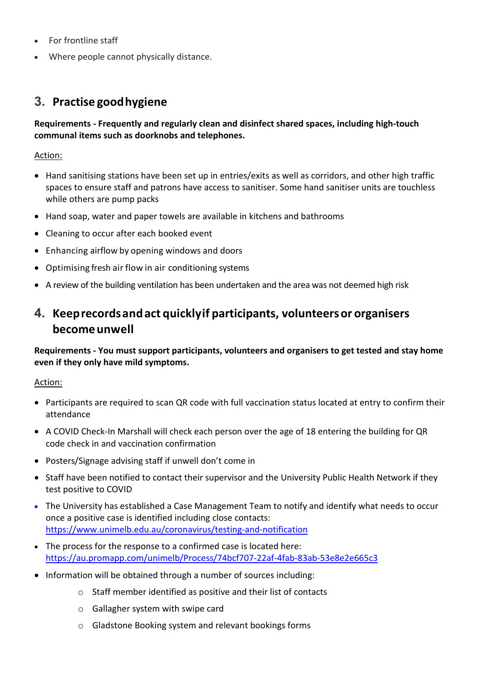- For frontline staff
- Where people cannot physically distance.

## **3. Practise goodhygiene**

## **Requirements - Frequently and regularly clean and disinfect shared spaces, including high-touch communal items such as doorknobs and telephones.**

## Action:

- Hand sanitising stations have been set up in entries/exits as well as corridors, and other high traffic spaces to ensure staff and patrons have access to sanitiser. Some hand sanitiser units are touchless while others are pump packs
- Hand soap, water and paper towels are available in kitchens and bathrooms
- Cleaning to occur after each booked event
- Enhancing airflow by opening windows and doors
- Optimising fresh air flow in air conditioning systems
- A review of the building ventilation has been undertaken and the area was not deemed high risk

## **4. Keeprecordsandact quicklyif participants, volunteersor organisers becomeunwell**

**Requirements - You must support participants, volunteers and organisers to get tested and stay home even if they only have mild symptoms.**

## Action:

- Participants are required to scan QR code with full vaccination status located at entry to confirm their attendance
- A COVID Check-In Marshall will check each person over the age of 18 entering the building for QR code check in and vaccination confirmation
- Posters/Signage advising staff if unwell don't come in
- Staff have been notified to contact their supervisor and the University Public Health Network if they test positive to COVID
- The University has established a Case Management Team to notify and identify what needs to occur once a positive case is identified including close contacts: <https://www.unimelb.edu.au/coronavirus/testing-and-notification>
- The process for the response to a confirmed case is located here: <https://au.promapp.com/unimelb/Process/74bcf707-22af-4fab-83ab-53e8e2e665c3>
- Information will be obtained through a number of sources including:
	- o Staff member identified as positive and their list of contacts
	- o Gallagher system with swipe card
	- o Gladstone Booking system and relevant bookings forms